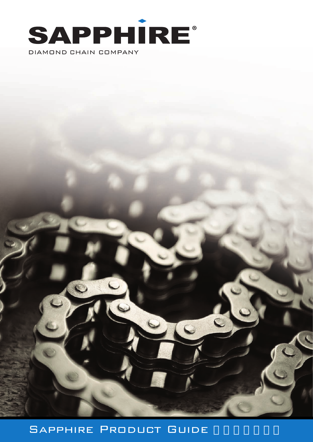

# SAPPHIRE PRODUCT GUIDE

 $\overline{C}$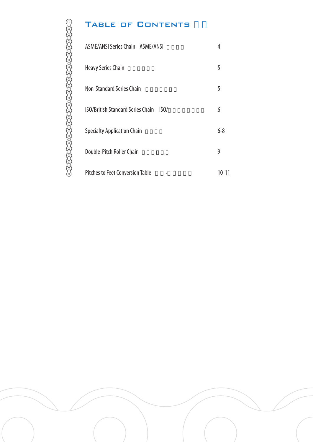# TABLE OF CONTENTS

 $\circ$ 

| ASME/ANSI Series Chain ASME/ANSI                 | 4         |
|--------------------------------------------------|-----------|
| <b>Heavy Series Chain</b>                        | 5         |
| <b>Non-Standard Series Chain</b>                 | 5         |
| <b>ISO/British Standard Series Chain</b><br>ISO/ | 6         |
| <b>Specialty Application Chain</b>               | 6-8       |
| Double-Pitch Roller Chain                        | 9         |
| <b>Pitches to Feet Conversion Table</b>          | $10 - 11$ |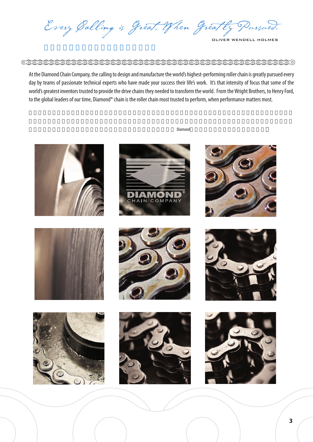Every Galling is Great, When Greatly Pursued.

#### 

At the Diamond Chain Company, the calling to design and manufacture the world's highest-performing roller chain is greatly pursued every day by teams of passionate technical experts who have made your success their life's work. It's that intensity of focus that some of the world's greatest inventors trusted to provide the drive chains they needed to transform the world. From the Wright Brothers, to Henry Ford, to the global leaders of our time, Diamond® chain is the roller chain most trusted to perform, when performance matters most.



 $Diamond$ 









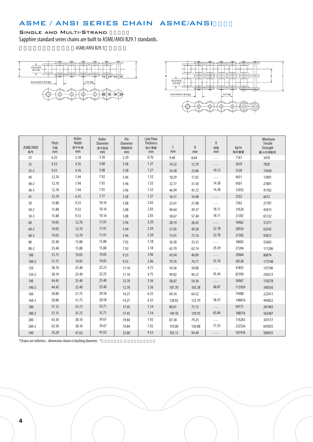## ASME / ANSI SERIES CHAIN ASME/ANSI

#### SINGLE AND MULTI-STRAND

Sapphire standard series chains are built to ASME/ANSI B29.1 standards.

ASME/ANSI B29.1





| ASME/ANSI<br>链号 | Pitch<br>节距<br>mm | Roller<br>Width<br>滚子长度<br>mm | Roller<br>Diameter<br>滚子直径<br>mm | Pin<br>Diameter<br>销轴直径<br>mm | <b>Link Plate</b><br><b>Thickness</b><br>链片厚度<br>mm | C<br>mm | ${\sf R}$<br>mm | K<br>排距<br>mm | kq/m<br>每米重量 | Minimum<br>Tensile<br>Strength<br>最小拉伸载荷 |
|-----------------|-------------------|-------------------------------|----------------------------------|-------------------------------|-----------------------------------------------------|---------|-----------------|---------------|--------------|------------------------------------------|
| 25              | 6.35              | 3.18                          | 3.30                             | 2.29                          | 0.76                                                | 9.40    | 8.64            | .             | 1161         | 3470                                     |
| 35              | 9.53              | 4.76                          | 5.08                             | 3.58                          | 1.27                                                | 14.22   | 12.70           | .             | 2619         | 7829                                     |
| $35 - 2$        | 9.53              | 4.76                          | 5.08                             | 3.58                          | 1.27                                                | 24.38   | 22.86           | 10.13         | 5238         | 15658                                    |
| 40              | 12.70             | 7.94                          | 7.92                             | 3.96                          | 1.52                                                | 18.29   | 17.02           | .             | 4651         | 13901                                    |
| $40 - 2$        | 12.70             | 7.94                          | 7.92                             | 3.96                          | 1.52                                                | 32.77   | 31.50           | 14.38         | 9301         | 27801                                    |
| $40 - 3$        | 12.70             | 7.94                          | 7.92                             | 3.96                          | 1.52                                                | 46.99   | 45.72           | 14.38         | 13952        | 41702                                    |
| 41              | 12.70             | 6.35                          | 7.77                             | 3.58                          | 1.27                                                | 16.51   | 14.48           | .             | 2232         | 6672                                     |
| 50              | 15.88             | 9.53                          | 10.16                            | 5.08                          | 2.03                                                | 22.61   | 21.08           | .             | 7262         | 21707                                    |
| $50 - 2$        | 15.88             | 9.53                          | 10.16                            | 5.08                          | 2.03                                                | 40.64   | 39.37           | 18.11         | 14524        | 43415                                    |
| $50-3$          | 15.88             | 9.53                          | 10.16                            | 5.08                          | 2.03                                                | 58.67   | 57.40           | 18.11         | 21787        | 65122                                    |
| 60              | 19.05             | 12.70                         | 11.91                            | 5.94                          | 2.39                                                | 28.19   | 26.42           | .             | 10462        | 31271                                    |
| $60 - 2$        | 19.05             | 12.70                         | 11.91                            | 5.94                          | 2.39                                                | 51.05   | 49.28           | 22.78         | 20924        | 62542                                    |
| $60 - 3$        | 19.05             | 12.70                         | 11.91                            | 5.94                          | 2.39                                                | 73.91   | 72.14           | 22.78         | 31385        | 93813                                    |
| 80              | 25.40             | 15.88                         | 15.88                            | 7.92                          | 3.18                                                | 36.58   | 33.53           | .             | 18602        | 55603                                    |
| $80 - 2$        | 25.40             | 15.88                         | 15.88                            | 7.92                          | 3.18                                                | 65.79   | 62.74           | 29.29         | 37204        | 111206                                   |
| 100             | 31.75             | 19.05                         | 19.05                            | 9.53                          | 3.96                                                | 43.94   | 40.89           | .             | 29064        | 86874                                    |
| $100 - 2$       | 31.75             | 19.05                         | 19.05                            | 9.53                          | 3.96                                                | 79.76   | 76.71           | 35.76         | 58128        | 173748                                   |
| 120             | 38.10             | 25.40                         | 22.23                            | 11.10                         | 4.75                                                | 54.36   | 50.80           | .             | 41855        | 125106                                   |
| $120 - 2$       | 38.10             | 25.40                         | 22.23                            | 11.10                         | 4.75                                                | 99.82   | 96.27           | 45.44         | 83709        | 250212                                   |
| 140             | 44.45             | 25.40                         | 25.40                            | 12.70                         | 5.56                                                | 58.67   | 54.36           | .             | 56967        | 170278                                   |
| $140 - 2$       | 44.45             | 25.40                         | 25.40                            | 12.70                         | 5.56                                                | 107.70  | 103.38          | 48.87         | 113934       | 340556                                   |
| 160             | 50.80             | 31.75                         | 28.58                            | 14.27                         | 6.35                                                | 69.34   | 64.52           | .             | 74408        | 222411                                   |
| $160 - 2$       | 50.80             | 31.75                         | 28.58                            | 14.27                         | 6.35                                                | 128.02  | 123.19          | 58.55         | 148816       | 444822                                   |
| 180             | 57.15             | 35.72                         | 35.71                            | 17.45                         | 7.14                                                | 80.01   | 73.15           | .             | 94171        | 281483                                   |
| $180 - 2$       | 57.15             | 35.72                         | 35.71                            | 17.45                         | 7.14                                                | 149.10  | 139.95          | 65.84         | 188516       | 563487                                   |
| 200             | 63.50             | 38.10                         | 39.67                            | 19.84                         | 7.92                                                | 87.38   | 79.25           | .             | 116263       | 347517                                   |
| $200 - 2$       | 63.50             | 38.10                         | 39.67                            | 19.84                         | 7.92                                                | 159.00  | 150.88          | 71.55         | 232526       | 695035                                   |
| 240             | 76.20             | 47.63                         | 47.63                            | 23.80                         | 9.53                                                | 103.12  | 94.49           | .             | 167418       | 500425                                   |

\*Chains are rollerless - dimension shown is bushing diameter. \* That is a set on  $-$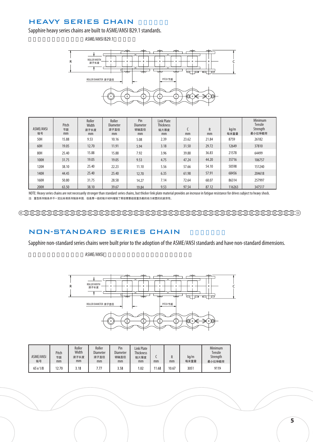### **HEAVY SERIES CHAIN**

Sapphire heavy series chains are built to ASME/ANSI B29.1 standards.

ASME/ANSI B29.1



| ASME/ANSI<br>链号 | Pitch<br>节距<br>mm | Roller<br>Width<br>滚子长度<br>mm | Roller<br><b>Diameter</b><br>滚子直径<br>mm | Pin<br><b>Diameter</b><br>销轴直径<br>mm | <b>Link Plate</b><br><b>Thickness</b><br>链片厚度<br>mm | mm    | R<br>mm | kq/m<br>每米重量 | Minimum<br>Tensile<br>Strength<br>最小拉伸载荷 |
|-----------------|-------------------|-------------------------------|-----------------------------------------|--------------------------------------|-----------------------------------------------------|-------|---------|--------------|------------------------------------------|
| 50H             | 15.88             | 9.53                          | 10.16                                   | 5.08                                 | 2.39                                                | 23.62 | 21.84   | 8759         | 26182                                    |
| 60H             | 19.05             | 12.70                         | 11.91                                   | 5.94                                 | 3.18                                                | 31.50 | 29.72   | 12649        | 37810                                    |
| 80H             | 25.40             | 15.88                         | 15.88                                   | 7.92                                 | 3.96                                                | 39.88 | 36.83   | 21578        | 64499                                    |
| 100H            | 31.75             | 19.05                         | 19.05                                   | 9.53                                 | 4.75                                                | 47.24 | 44.20   | 35716        | 106757                                   |
| 120H            | 38.10             | 25.40                         | 22.23                                   | 11.10                                | 5.56                                                | 57.66 | 54.10   | 50598        | 151240                                   |
| 140H            | 44.45             | 25.40                         | 25.40                                   | 12.70                                | 6.35                                                | 61.98 | 57.91   | 68456        | 204618                                   |
| 160H            | 50.80             | 31.75                         | 28.58                                   | 14.27                                | 7.14                                                | 72.64 | 68.07   | 86314        | 257997                                   |
| 200H            | 63.50             | 38.10                         | 39.67                                   | 19.84                                | 9.53                                                | 97.54 | 87.12   | 116263       | 347517                                   |

NOTE: Heavy series chains are not necessarily stronger than standard series chains, but thicker link plate material provides an increase in fatigue resistance for drives subject to heavy shock. 注:重型系列链条并不一定比标准系列链条牢固,但是厚一级的链片材料增强了那些需要经受重负载的动力装置的抗疲劳性。

#### NON-STANDARD SERIES CHAIN

Sapphire non-standard series chains were built prior to the adoption of the ASME/ANSI standards and have non-standard dimensions.

#### ASME/ANSI



| <b>ASME/ANSI</b><br>链号 | Pitch<br>节距<br>mm | Roller<br>Width<br>滚子长度<br>mm | Roller<br><b>Diameter</b><br>滚子直径<br>mm | Pin<br><b>Diameter</b><br>销轴直径<br>mm | <b>Link Plate</b><br><b>Thickness</b><br>链片厚度<br>mm | mm    | n<br>mm | kg/m<br>每米重量 | Minimum<br><b>Tensile</b><br>Strength<br>最小拉伸载荷 |
|------------------------|-------------------|-------------------------------|-----------------------------------------|--------------------------------------|-----------------------------------------------------|-------|---------|--------------|-------------------------------------------------|
| 65 x 1/8               | 12.70             | 3.18                          | 7.77                                    | 3.58                                 | 1.02                                                | 11.68 | 10.67   | 3051         | 9119                                            |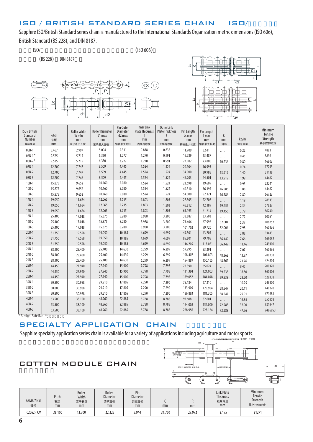### ISO / BRITISH STANDARD SERIES CHAIN ISO/

Sapphire ISO/British Standard series chain is manufactured to the International Standards Organization metric dimensions (ISO 606), British Standard (BS 228), and DIN 8187.

 $(B5 228)$  DIN 8187

 $\text{ISO}$  (ISO 606)





| ISO / British<br>Standard<br>Number<br>英标链号 | Pitch<br>节距<br>mm | <b>Roller Width</b><br>W min<br>mm<br>滚子最小长度 | <b>Roller Diameter</b><br>d1 max<br>mm<br>滚子最大直径 | Pin Outer<br>Diameter<br>d2 max<br>mm<br>销轴最大外径 | <b>Inner Link</b><br><b>Plate Thickness</b><br>Τ<br>mm<br>内链片厚度 | <b>Outer Link</b><br><b>Plate Thickness</b><br>t<br>mm<br>外链片厚度 | Pin Length<br>Lc max<br>mm<br>销轴最大长度 | Pin Length<br>L max<br>mm<br>销轴最大长度 | К<br>mm<br>排距 | kg/m<br>每米重量 | Minimum<br>Tensile<br>Strength<br>最小拉伸载荷 |
|---------------------------------------------|-------------------|----------------------------------------------|--------------------------------------------------|-------------------------------------------------|-----------------------------------------------------------------|-----------------------------------------------------------------|--------------------------------------|-------------------------------------|---------------|--------------|------------------------------------------|
| $05B-1$                                     | 8.467             | 2.997                                        | 5.004                                            | 2.311                                           | 0.838                                                           | 0.838                                                           | 11.709                               | 8.611                               | $\cdots$      | 0.22         | 4893                                     |
| $06B-1*$                                    | 9.525             | 5.715                                        | 6.350                                            | 3.277                                           | 1.270                                                           | 0.991                                                           | 16.789                               | 13.487                              | .             | 0.45         | 8896                                     |
| $06B-2*$                                    | 9.525             | 5.715                                        | 6.350                                            | 3.277                                           | 1.270                                                           | 0.991                                                           | 27.102                               | 23.800                              | 10.236        | 0.80         | 16903                                    |
| $08B-1$                                     | 12.700            | 7.747                                        | 8.509                                            | 4.445                                           | 1.524                                                           | 1.524                                                           | 20.904                               | 16.993                              | $\ldots$      | 0.74         | 17793                                    |
| 08B-2                                       | 12.700            | 7.747                                        | 8.509                                            | 4.445                                           | 1.524                                                           | 1.524                                                           | 34.900                               | 30.988                              | 13.919        | 1.40         | 31138                                    |
| 08B-3                                       | 12.700            | 7.747                                        | 8.509                                            | 4.445                                           | 1.524                                                           | 1.524                                                           | 46.203                               | 44.501                              | 13.919        | 1.99         | 44482                                    |
| $10B-1$                                     | 15.875            | 9.652                                        | 10.160                                           | 5.080                                           | 1.524                                                           | 1.524                                                           | 23.698                               | 19.609                              | $\ldots$      | 0.95         | 22241                                    |
| $10B-2$                                     | 15.875            | 9.652                                        | 10.160                                           | 5.080                                           | 1.524                                                           | 1.524                                                           | 40.310                               | 36.195                              | 16.586        | 1.88         | 44482                                    |
| $10B-3$                                     | 15.875            | 9.652                                        | 10.160                                           | 5.080                                           | 1.524                                                           | 1.524                                                           | 54.000                               | 52.121                              | 16.586        | 2.80         | 66723                                    |
| $12B-1$                                     | 19.050            | 11.684                                       | 12.065                                           | 5.715                                           | 1.803                                                           | 1.803                                                           | 27.305                               | 22.708                              | $\ldots$      | 1.19         | 28913                                    |
| $12B-2$                                     | 19.050            | 11.684                                       | 12.065                                           | 5.715                                           | 1.803                                                           | 1.803                                                           | 46.812                               | 42.189                              | 19.456        | 2.34         | 57827                                    |
| $12B-3$                                     | 19.050            | 11.684                                       | 12.065                                           | 5.715                                           | 1.803                                                           | 1.803                                                           | 63.195                               | 61.214                              | 19.456        | 3.79         | 86740                                    |
| $16B-1$                                     | 25.400            | 17.018                                       | 15.875                                           | 8.280                                           | 3.988                                                           | 3.200                                                           | 38.887                               | 33.503                              | .             | 2.72         | 60051                                    |
| $16B-2$                                     | 25.400            | 17.018                                       | 15.875                                           | 8.280                                           | 3.988                                                           | 3.200                                                           | 73.406                               | 67.996                              | 32.004        | 5.37         | 106757                                   |
| $16B-3$                                     | 25.400            | 17.018                                       | 15.875                                           | 8.280                                           | 3.988                                                           | 3.200                                                           | 101.702                              | 99.720                              | 32.004        | 7.98         | 160136                                   |
| $20B-1$                                     | 31.750            | 19.558                                       | 19.050                                           | 10.185                                          | 4.699                                                           | 4.699                                                           | 49.301                               | 43.205                              | .             | 3.88         | 93413                                    |
| $20B-2$                                     | 31.750            | 19.558                                       | 19.050                                           | 10.185                                          | 4.699                                                           | 4.699                                                           | 85.801                               | 79.705                              | 36.449        | 7.66         | 169032                                   |
| $20B-3$                                     | 31.750            | 19.558                                       | 19.050                                           | 10.185                                          | 4.699                                                           | 4.699                                                           | 116.205                              | 113.081                             | 36.449        | 11.46        | 249100                                   |
| $24B-1$                                     | 38.100            | 25.400                                       | 25.400                                           | 14.630                                          | 6.299                                                           | 6.299                                                           | 59.995                               | 53.391                              | $\ldots$      | 7.07         | 160136                                   |
| $24B-2$                                     | 38.100            | 25.400                                       | 25.400                                           | 14.630                                          | 6.299                                                           | 6.299                                                           | 108.407                              | 101.803                             | 48.362        | 13.97        | 280238                                   |
| $24B-3$                                     | 38.100            | 25.400                                       | 25.400                                           | 14.630                                          | 6.299                                                           | 6.299                                                           | 154.889                              | 150.165                             | 48.362        | 21.76        | 424805                                   |
| $28B-1$                                     | 44.450            | 27.940                                       | 27.940                                           | 15.900                                          | 7.798                                                           | 7.798                                                           | 72.390                               | 65.024                              | $\cdots$      | 9.45         | 200170                                   |
| $28B-2$                                     | 44.450            | 27.940                                       | 27.940                                           | 15.900                                          | 7.798                                                           | 7.798                                                           | 131.394                              | 124.003                             | 59.538        | 18.80        | 360306                                   |
| $28B-1$                                     | 44.450            | 27.940                                       | 27.940                                           | 15.900                                          | 7.798                                                           | 7.798                                                           | 189.052                              | 184.048                             | 59.538        | 28.20        | 529338                                   |
| $32B-1$                                     | 50.800            | 30.988                                       | 29.210                                           | 17.805                                          | 7.290                                                           | 7.290                                                           | 75.184                               | 67.310                              | $\ldots$      | 10.25        | 249100                                   |
| $32B-2$                                     | 50.800            | 30.988                                       | 29.210                                           | 17.805                                          | 7.290                                                           | 7.290                                                           | 133.909                              | 125.984                             | 58.547        | 20.11        | 449270                                   |
| $32B-3$                                     | 50.800            | 30.988                                       | 29.210                                           | 17.805                                          | 7.290                                                           | 7.290                                                           | 186.893                              | 181.305                             | 58.547        | 29.91        | 671681                                   |
| $40B - 1$                                   | 63.500            | 38.100                                       | 48.260                                           | 22.885                                          | 8.788                                                           | 8.788                                                           | 92.608                               | 82.601                              | $\cdots$      | 16.35        | 355858                                   |
| $40B-2$                                     | 63.500            | 38.100                                       | 48.260                                           | 22.885                                          | 8.788                                                           | 8.788                                                           | 164.008                              | 154.000                             | 72.288        | 32.00        | 631647                                   |
| $40B-3$                                     | 63.500            | 38.100                                       | 48.260                                           | 22.885                                          | 8.788                                                           | 8.788                                                           | 228.956                              | 223.164                             | 72.288        | 47.76        | 9496953                                  |

\* Straight Side Bar. \*

#### SPECIALTY APPLICATION CHAIN

Sapphire specialty application series chain is available for a variety of applications including agriculture and motor sports.

## COTTON MODULE CHAIN



| ASME/ANSI<br>链号 | Pitch<br>节距<br>mm | Roller<br>Width<br>滚子长度<br>mm | Roller<br><b>Diameter</b><br>滚子直径<br>mm | Pin<br><b>Diameter</b><br>销轴直径<br>mm | mm     | mm     | <b>Link Plate</b><br><b>Thickness</b><br>链片厚度<br>mm | <b>Minimum</b><br>Tensile<br>Strength<br>最小拉伸载荷 |
|-----------------|-------------------|-------------------------------|-----------------------------------------|--------------------------------------|--------|--------|-----------------------------------------------------|-------------------------------------------------|
| C2062H CM       | 38.100            | 2.700                         | 22.225                                  | 5.944                                | 31.750 | 29.972 | 3.175                                               | 31271                                           |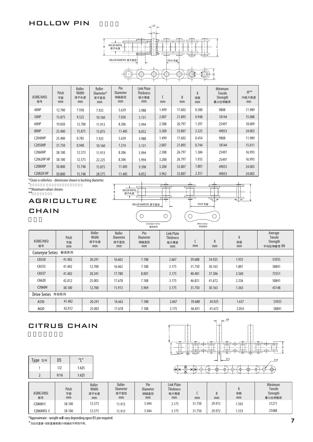#### HOLLOW PIN



| ASME/ANSI<br>链号   | Pitch<br>节距<br>mm | Roller<br>Width<br>滚子长度<br>mm | Roller<br>Diameter*<br>滚子直径<br>mm | Pin<br><b>Diameter</b><br>销轴直径<br>mm | <b>Link Plate</b><br><b>Thickness</b><br>链片厚度<br>mm | mm    | R<br>mm | K<br>排距<br>mm | Minimum<br><b>Tensile</b><br>Strength<br>最小拉伸载荷 | $H***$<br>内链片高度<br>mm |
|-------------------|-------------------|-------------------------------|-----------------------------------|--------------------------------------|-----------------------------------------------------|-------|---------|---------------|-------------------------------------------------|-----------------------|
| 40HP              | 12.700            | 7.938                         | 7.925                             | 5.639                                | 3.988                                               | 1.499 | 17.602  | 0.580         | 9808                                            | 11.989                |
| 50HP              | 15.875            | 9.525                         | 10.160                            | 7.036                                | 5.131                                               | 2.007 | 21.895  | 0.948         | 18144                                           | 15.088                |
| 60HP              | 19.050            | 12.700                        | 11.913                            | 8.306                                | 5.994                                               | 2.388 | 26.797  | 1.397         | 25497                                           | 18.009                |
| 80HP              | 25.400            | 15.875                        | 15.875                            | 11.405                               | 8.052                                               | 3.200 | 33.807  | 2.525         | 49033                                           | 24.003                |
| <b>C2040HP</b>    | 25.400            | 0.785                         | 7.925                             | 5.639                                | 3.988                                               | 1.499 | 17.602  | 0.454         | 9808                                            | 11.989                |
| <b>C2050HP</b>    | 31.750            | 0.940                         | 10.160                            | 7.214                                | 5.131                                               | 2.007 | 21.895  | 0.744         | 18144                                           | 15.011                |
| <b>C2060HP</b>    | 38.100            | 12.573                        | 11.913                            | 8.306                                | 5.994                                               | 2.388 | 26.797  | 1.384         | 25497                                           | 16.993                |
| <b>C2062HP HP</b> | 38.100            | 12.573                        | 22.225                            | 8.306                                | 5.994                                               | 3.200 | 26.797  | 1.935         | 25497                                           | 16.993                |
| <b>C2080HP</b>    | 50.800            | 15.748                        | 15.875                            | 11.405                               | 9.398                                               | 3.200 | 33.807  | 1.801         | 49033                                           | 24.003                |
| <b>C2082H HP</b>  | 50.800            | 15.748                        | 28.575                            | 11.405                               | 8.052                                               | 3.962 | 33.807  | 2.351         | 49033                                           | 24.003                |

\*Chain is rollerless - dimension shown is bushing diameter.

 $*$ 

AGRICULTURE

**CHAIN** 

\*\*Maximum values shown.<br>\*\*



|                      |                   |                               |                                         | サマリ スピニンジャン ワ                        |                                                     | 1.4.7999979999 |                    |               |                                            |
|----------------------|-------------------|-------------------------------|-----------------------------------------|--------------------------------------|-----------------------------------------------------|----------------|--------------------|---------------|--------------------------------------------|
| ASME/ANSI<br>链号      | Pitch<br>节距<br>mm | Roller<br>Width<br>滚子长度<br>mm | Roller<br><b>Diameter</b><br>滚子直径<br>mm | Pin<br><b>Diameter</b><br>销轴直径<br>mm | <b>Link Plate</b><br><b>Thickness</b><br>链片厚度<br>mm | mm             | $\mathsf{R}$<br>mm | K<br>排距<br>mm | Average<br>Tensile<br>Strength<br>平均拉伸载荷KN |
| Conveyor Series 输送系列 |                   |                               |                                         |                                      |                                                     |                |                    |               |                                            |
| CA550                | 41.402            | 20.241                        | 16.662                                  | 7.188                                | 2.667                                               | 39.688         | 34.925             | 1.935         | 53935                                      |
| CA555                | 41.402            | 12.700                        | 16.662                                  | 7.188                                | 3.175                                               | 31.750         | 30.163             | 1.801         | 58841                                      |
| CA557                | 41.402            | 20.241                        | 17.780                                  | 8.001                                | 3.175                                               | 40.481         | 37.306             | 2.560         | 73551                                      |
| CA620                | 42.012            | 25.003                        | 17.678                                  | 7.188                                | 3.175                                               | 46.831         | 41.672             | 2.336         | 58841                                      |
| C2060H               | 38.100            | 12.700                        | 11.913                                  | 5.969                                | 3.175                                               | 31.750         | 30.163             | 1.563         | 43148                                      |
| Drive Series 传动系列    |                   |                               |                                         |                                      |                                                     |                |                    |               |                                            |
| A550                 | 41.402            | 20.241                        | 16.662                                  | 7.188                                | 2.667                                               | 39.688         | 34.925             | 1.637         | 53935                                      |
| A620                 | 42.012            | 25.003                        | 17.678                                  | 7.188                                | 3.175                                               | 46.831         | 41.672             | 2.054         | 58841                                      |

## CITRUS CHAIN

|              | $\overline{\phantom{0}}^{DS}$  |                                 |
|--------------|--------------------------------|---------------------------------|
| ٠            | ٠                              |                                 |
|              | ᠇                              | ᠇<br>R                          |
| ¢<br>--      | <u>win</u><br>ᡂ<br>- 5<br>.312 | وحثوم<br>- -<br>ᇠ<br>.318       |
| ≫⊕<br>$^{+}$ | Ĉ<br>Ē<br>Ħ<br>÷÷<br>≎         | Ê<br>(+)<br>ŀ÷<br>. +<br>٠<br>∸ |

| Type 型号 | D5   | $   \cdot   $ |
|---------|------|---------------|
|         | 1/2  | 1.625         |
|         | 9/16 | 1.625         |
|         |      |               |

| ASME/ANSI<br>链号 | Pitch<br>节距<br>mm | Roller<br>Width<br>滚子长度<br>mm | Roller<br><b>Diameter</b><br>滚子直径<br>mm | Pin<br><b>Diameter</b><br>销轴直径<br>mm | Link Plate<br><b>Thickness</b><br>链片厚度<br>mm | mm     | R<br>mm | 排距<br>mm | Minimum<br><b>Tensile</b><br>Strength<br>最小拉伸载荷 |
|-----------------|-------------------|-------------------------------|-----------------------------------------|--------------------------------------|----------------------------------------------|--------|---------|----------|-------------------------------------------------|
| C2060H C        | 38.100            | 12.573                        | 11.913                                  | 5.944                                | 3.175                                        | 31.750 | 29.972  | 1.563    | 31271                                           |
| C2060HSS C      | 38.100            | 12.573                        | 11.913                                  | 5.944                                | 3.175                                        | 1.750، | 29.972  | 1.533    | 25488                                           |

\*Approximate - weight will vary depending upon D5 pin required.

\*为近似重量-实际重量根据D5销轴的不同而不同。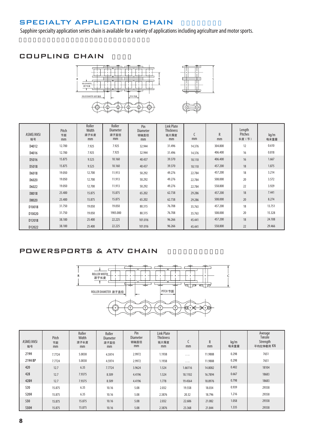## SPECIALTY APPLICATION CHAIN

Sapphire specialty application series chain is available for a variety of applications including agriculture and motor sports.

## COUPLING CHAIN







| ASME/ANSI<br>链号 | Pitch<br>节距<br>mm | Roller<br>Width<br>滚子长度<br>mm | Roller<br><b>Diameter</b><br>滚子直径<br>mm | Pin<br><b>Diameter</b><br>销轴直径<br>mm | <b>Link Plate</b><br><b>Thickness</b><br>链片厚度<br>mm | C<br>mm | R<br>mm | Length<br>Pitches<br>长度 (节) | kg/m<br>每米重量 |
|-----------------|-------------------|-------------------------------|-----------------------------------------|--------------------------------------|-----------------------------------------------------|---------|---------|-----------------------------|--------------|
| D4012           | 12.700            | 7.925                         | 7.925                                   | 32.944                               | 31.496                                              | 14.376  | 304.800 | 12                          | 0.610        |
| D4016           | 12.700            | 7.925                         | 7.925                                   | 32.944                               | 31.496                                              | 14.376  | 406.400 | 16                          | 0.818        |
| D5016           | 15.875            | 9.525                         | 10.160                                  | 40.437                               | 39.370                                              | 18.110  | 406.400 | 16                          | 1.667        |
| D5018           | 15.875            | 9.525                         | 10.160                                  | 40.437                               | 39.370                                              | 18.110  | 457.200 | 18                          | 1.875        |
| D6018           | 19.050            | 12.700                        | 11.913                                  | 50.292                               | 49.276                                              | 22.784  | 457.200 | 18                          | 3.214        |
| D6020           | 19.050            | 12.700                        | 11.913                                  | 50.292                               | 49.276                                              | 22.784  | 508.000 | 20                          | 3.572        |
| D6022           | 19.050            | 12.700                        | 11.913                                  | 50.292                               | 49.276                                              | 22.784  | 558.800 | 22                          | 3.929        |
| D8018           | 25.400            | 15.875                        | 15.875                                  | 65.202                               | 62.738                                              | 29.286  | 457.200 | 18                          | 7.441        |
| D8020           | 25.400            | 15.875                        | 15.875                                  | 65.202                               | 62.738                                              | 29.286  | 508.000 | 20                          | 8.274        |
| D10018          | 31.750            | 19.050                        | 19.050                                  | 80.315                               | 76.708                                              | 35.763  | 457.200 | 18                          | 13.751       |
| D10020          | 31.750            | 19.050                        | 1905.000                                | 80.315                               | 76.708                                              | 35.763  | 508.000 | 20                          | 15.328       |
| D12018          | 38.100            | 25.400                        | 22.225                                  | 101.016                              | 96.266                                              | 45.441  | 457.200 | 18                          | 24.108       |
| D12022          | 38.100            | 25.400                        | 22.225                                  | 101.016                              | 96.266                                              | 45.441  | 558.800 | 22                          | 29.466       |

## POWERSPORTS & ATV CHAIN



| ASME/ANSI<br>链号 | Pitch<br>节距<br>mm | Roller<br>Width<br>滚子长度<br>mm | Roller<br><b>Diameter</b><br>滚子直径<br>mm | Pin<br><b>Diameter</b><br>销轴直径<br>mm | <b>Link Plate</b><br><b>Thickness</b><br>链片厚度<br>mm | mm      | $\mathsf{R}$<br>mm | kg/m<br>每米重量 | Average<br>Tensile<br>Strength<br>平均拉伸载荷 KN |
|-----------------|-------------------|-------------------------------|-----------------------------------------|--------------------------------------|-----------------------------------------------------|---------|--------------------|--------------|---------------------------------------------|
| 219H            | 7.7724            | 5.0038                        | 4.5974                                  | 2.9972                               | 1.1938                                              | .       | 11.9888            | 0.298        | 7651                                        |
| 219H BP         | 7.7724            | 5.0038                        | 4.5974                                  | 2.9972                               | 1.1938                                              | .       | 11.9888            | 0.298        | 7651                                        |
| 420             | 12.7              | 6.35                          | 7.7724                                  | 3.9624                               | 1.524                                               | 1.66116 | 14.8082            | 0.402        | 18104                                       |
| 428             | 12.7              | 7.9375                        | 8.509                                   | 4.4196                               | 1.524                                               | 18.1102 | 16.7894            | 0.667        | 18683                                       |
| 428H            | 12.7              | 7.9375                        | 8.509                                   | 4.4196                               | 1.778                                               | 19.4564 | 18.8976            | 0.798        | 18683                                       |
| 520             | 15.875            | 6.35                          | 10.16                                   | 5.08                                 | 2.032                                               | 19.558  | 18.034             | 0.939        | 29358                                       |
| 520H            | 15.875            | 6.35                          | 10.16                                   | 5.08                                 | 2.3876                                              | 20.32   | 18.796             | 1.216        | 29358                                       |
| 530             | 15.875            | 15.875                        | 10.16                                   | 5.08                                 | 2.032                                               | 22.606  | 21.082             | 1.058        | 29358                                       |
| 530H            | 15.875            | 15.875                        | 10.16                                   | 5.08                                 | 2.3876                                              | 23.368  | 21.844             | 1.335        | 29358                                       |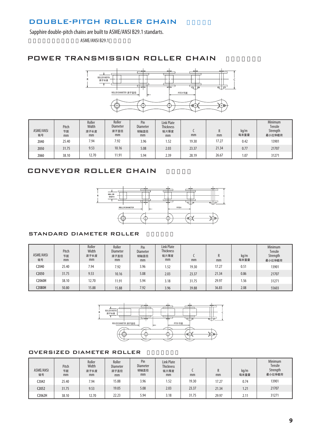## DOUBLE-PITCH ROLLER CHAIN

Sapphire double-pitch chains are built to ASME/ANSI B29.1 standarts.

ASME/ANSI B29.1

#### POWER TRANSMISSION ROLLER CHAIN



| <b>ASME/ANSI</b><br>链号 | Pitch<br>节距<br>mm | Roller<br>Width<br>滚子长度<br>mm | Roller<br><b>Diameter</b><br>滚子直径<br>mm | Pin<br><b>Diameter</b><br>销轴直径<br>mm | <b>Link Plate</b><br><b>Thickness</b><br>链片厚度<br>mm | mm    | R<br>mm | kg/m<br>每米重量 | Minimum<br><b>Tensile</b><br>Strength<br>最小拉伸载荷 |
|------------------------|-------------------|-------------------------------|-----------------------------------------|--------------------------------------|-----------------------------------------------------|-------|---------|--------------|-------------------------------------------------|
| 2040                   | 25.40             | 7.94                          | 7.92                                    | 3.96                                 | 1.52                                                | 19.30 | 17.27   | 0.42         | 13901                                           |
| 2050                   | 31.75             | 9.53                          | 10.16                                   | 5.08                                 | 2.03                                                | 23.37 | 21.34   | 0.77         | 21707                                           |
| 2060                   | 38.10             | 12.70                         | 11.91                                   | 5.94                                 | 2.39                                                | 28.19 | 26.67   | 1.07         | 31271                                           |

## CONVEYOR ROLLER CHAIN



#### l STANDARD DIAMETER ROLLER

| ASME/ANSI<br>链号 | Pitch<br>节距<br>mm | Roller<br>Width<br>滚子长度<br>mm | Roller<br><b>Diameter</b><br>滚子直径<br>mm | Pin<br><b>Diameter</b><br>销轴直径<br>mm | <b>Link Plate</b><br><b>Thickness</b><br>链片厚度<br>mm | mm    | R<br>mm | kg/m<br>每米重量  | <b>Minimum</b><br>Tensile<br>Strength<br>最小拉伸载荷 |
|-----------------|-------------------|-------------------------------|-----------------------------------------|--------------------------------------|-----------------------------------------------------|-------|---------|---------------|-------------------------------------------------|
| C2040           | 25.40             | 7.94                          | 7.92                                    | 3.96                                 | 1.52                                                | 19.30 | 17.27   | $0.5^{\circ}$ | 13901                                           |
| C2050           | 31.75             | 9.53                          | 10.16                                   | 5.08                                 | 2.03                                                | 23.37 | 21.34   | 0.86          | 21707                                           |
| C2060H          | 38.10             | 12.70                         | 11.91                                   | 5.94                                 | 3.18                                                | 31.75 | 29.97   | 1.56          | 31271                                           |
| C2080H          | 50.80             | 15.88                         | 15.88                                   | 7.92                                 | 3.96                                                | 39.88 | 36.83   | 2.08          | 55603                                           |



#### **OVERSIZED DIAMETER ROLLER**

| ASME/ANSI<br>链号   | Pitch<br>节距<br>mm | Roller<br>Width<br>滚子长度<br>mm | Roller<br><b>Diameter</b><br>滚子直径<br>mm | Pin<br><b>Diameter</b><br>销轴直径<br>mm | <b>Link Plate</b><br><b>Thickness</b><br>链片厚度<br>mm | mm    | R<br>mm | kq/m<br>每米重量 | Minimum<br>Tensile<br>Strength<br>最小拉伸载荷 |
|-------------------|-------------------|-------------------------------|-----------------------------------------|--------------------------------------|-----------------------------------------------------|-------|---------|--------------|------------------------------------------|
| C2042             | 25.40             | 7.94                          | 15.88                                   | 3.96                                 | 1.52                                                | 19.30 | 17.27   | 0.74         | 13901                                    |
| C <sub>2052</sub> | 31.75             | 9.53                          | 19.05                                   | 5.08                                 | 2.03                                                | 23.37 | 21.34   | 1.21         | 21707                                    |
| C2062H            | 38.10             | 12.70                         | 22.23                                   | 5.94                                 | 3.18                                                | 31.75 | 29.97   | 2.11         | 31271                                    |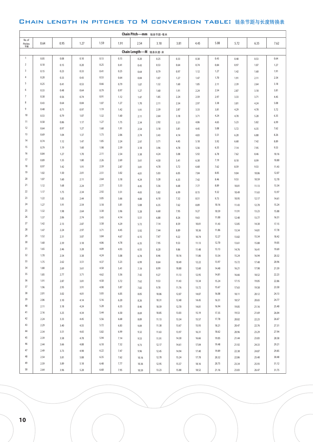#### CHAIN LENGTH IN PITCHES TO M CONVERSION TABLE: 链条节距与长度转换表

|                         | Chain Pitch-mm 链条节距-毫米 |      |      |      |      |                       |       |       |       |       |       |       |       |
|-------------------------|------------------------|------|------|------|------|-----------------------|-------|-------|-------|-------|-------|-------|-------|
| No. of<br>Pitches<br>节数 | 0.64                   | 0.95 | 1.27 | 1.59 | 1.91 | 2.54                  | 3.18  | 3.81  | 4.45  | 5.08  | 5.72  | 6.35  | 7.62  |
|                         |                        |      |      |      |      | Chain Length-M 链条长度-米 |       |       |       |       |       |       |       |
| $\overline{1}$          | 0.05                   | 0.08 | 0.10 | 0.13 | 0.15 | 0.20                  | 0.25  | 0.33  | 0.38  | 0.43  | 0.48  | 0.53  | 0.64  |
| $\overline{2}$          | 0.10                   | 0.15 | 0.20 | 0.25 | 0.41 | 0.43                  | 0.53  | 0.64  | 0.74  | 0.84  | 0.97  | 1.07  | 1.27  |
| $\overline{\mathbf{3}}$ | 0.15                   | 0.23 | 0.33 | 0.41 | 0.25 | 0.64                  | 0.79  | 0.97  | 1.12  | 1.27  | 1.42  | 1.60  | 1.91  |
| $\overline{4}$          | 0.20                   | 0.33 | 0.43 | 0.53 | 0.64 | 0.84                  | 1.07  | 1.27  | 1.47  | 1.70  | 1.91  | 2.11  | 2.54  |
| 5                       | 0.25                   | 0.41 | 0.53 | 0.66 | 0.79 | 1.07                  | 1.32  | 1.60  | 1.85  | 2.11  | 2.39  | 2.64  | 3.18  |
| $\boldsymbol{6}$        | 0.33                   | 0.48 | 0.64 | 0.79 | 0.97 | 1.27                  | 1.60  | 1.91  | 2.24  | 2.54  | 2.87  | 3.18  | 3.81  |
| $\overline{7}$          | 0.38                   | 0.56 | 0.74 | 0.91 | 1.12 | 1.47                  | 1.85  | 2.24  | 2.59  | 2.97  | 3.33  | 3.71  | 4.45  |
| 8                       | 0.43                   | 0.64 | 0.84 | 1.07 | 1.27 | 1.70                  | 2.11  | 2.54  | 2.97  | 3.38  | 3.81  | 4.24  | 5.08  |
| 9                       | 0.48                   | 0.71 | 0.97 | 1.19 | 1.42 | 1.91                  | 2.39  | 2.87  | 3.33  | 3.81  | 4.29  | 4.78  | 5.72  |
| 10                      | 0.53                   | 0.79 | 1.07 | 1.32 | 1.60 | 2.11                  | 2.64  | 3.18  | 3.71  | 4.24  | 4.78  | 5.28  | 6.35  |
| 11                      | 0.58                   | 0.86 | 1.17 | 1.27 | 1.75 | 2.34                  | 2.92  | 3.51  | 4.06  | 4.65  | 5.23  | 5.82  | 6.99  |
| 12                      | 0.64                   | 0.97 | 1.27 | 1.60 | 1.91 | 2.54                  | 3.18  | 3.81  | 4.45  | 5.08  | 5.72  | 6.35  | 7.62  |
| 13                      | 0.69                   | 1.04 | 1.37 | 1.73 | 2.06 | 2.74                  | 3.43  | 4.14  | 4.83  | 5.51  | 6.20  | 6.88  | 8.26  |
| 14                      | 0.74                   | 1.12 | 1.47 | 1.85 | 2.24 | 2.97                  | 3.71  | 4.45  | 5.18  | 5.92  | 6.68  | 7.42  | 8.89  |
| 15                      | 0.79                   | 1.19 | 1.60 | 1.98 | 2.39 | 3.18                  | 3.96  | 4.78  | 5.56  | 6.35  | 7.14  | 7.95  | 9.53  |
| 16                      | 0.84                   | 1.27 | 1.70 | 2.11 | 2.54 | 3.38                  | 4.24  | 5.08  | 5.92  | 6.78  | 7.62  | 8.46  | 10.16 |
| 17                      | 0.89                   | 1.35 | 1.80 | 2.26 | 2.69 | 3.61                  | 4.50  | 5.41  | 6.30  | 7.19  | 8.10  | 8.99  | 10.80 |
| 18                      | 0.97                   | 1.42 | 1.91 | 2.39 | 2.87 | 3.81                  | 4.78  | 5.72  | 6.68  | 7.62  | 8.59  | 9.53  | 11.43 |
| 19                      | 1.02                   | 1.50 | 2.01 | 2.51 | 3.02 | 4.01                  | 5.03  | 6.05  | 7.04  | 8.05  | 9.04  | 10.06 | 12.07 |
| 20                      | 1.07                   | 1.60 | 2.11 | 2.64 | 3.18 | 4.24                  | 5.28  | 6.35  | 7.42  | 8.46  | 9.53  | 10.59 | 12.70 |
| 21                      | 1.12                   | 1.68 | 2.24 | 2.77 | 3.33 | 4.45                  | 5.56  | 6.68  | 7.77  | 8.89  | 10.01 | 11.13 | 13.34 |
| 22                      | 1.17                   | 1.75 | 2.34 | 2.92 | 3.51 | 4.65                  | 5.82  | 6.99  | 8.15  | 9.32  | 10.49 | 11.63 | 13.97 |
| 23                      | 1.22                   | 1.83 | 2.44 | 3.05 | 3.66 | 4.88                  | 6.10  | 7.32  | 8.51  | 9.73  | 10.95 | 12.17 | 14.61 |
| 24                      | 1.27                   | 1.91 | 2.54 | 3.18 | 3.81 | 5.08                  | 6.35  | 7.62  | 8.89  | 10.16 | 11.43 | 12.70 | 15.24 |
| 25                      | 1.32                   | 1.98 | 2.64 | 3.30 | 3.96 | 5.28                  | 6.60  | 7.95  | 9.27  | 10.59 | 11.91 | 13.23 | 15.88 |
| 26                      | 1.37                   | 2.06 | 2.74 | 3.43 | 4.14 | 5.51                  | 6.88  | 8.26  | 9.63  | 11.00 | 12.40 | 13.77 | 16.51 |
| 27                      | 1.42                   | 2.13 | 2.87 | 3.58 | 4.29 | 5.72                  | 7.14  | 8.59  | 10.01 | 11.43 | 12.85 | 14.30 | 17.15 |
| 28                      | 1.47                   | 2.24 | 2.97 | 3.71 | 4.45 | 5.92                  | 7.44  | 8.89  | 10.36 | 11.86 | 13.34 | 14.81 | 17.78 |
| 29                      | 1.52                   | 2.31 | 3.07 | 3.84 | 4.67 | 6.15                  | 7.67  | 9.22  | 10.74 | 12.27 | 13.82 | 15.34 | 18.42 |
| 30                      | 1.60                   | 2.39 | 3.18 | 4.06 | 4.78 | 6.35                  | 7.95  | 9.53  | 11.13 | 12.70 | 13.61 | 15.88 | 19.05 |
| 31                      | 1.65                   | 2.46 | 3.28 | 4.09 | 4.93 | 6.55                  | 8.20  | 9.86  | 11.48 | 13.13 | 14.76 | 16.41 | 19.69 |
| 32                      | 1.70                   | 2.54 | 3.38 | 4.24 | 5.08 | 6.78                  | 8.46  | 10.16 | 11.86 | 13.54 | 15.24 | 16.94 | 20.32 |
| 33                      | 1.75                   | 2.62 | 3.51 | 4.37 | 5.23 | 6.99                  | 8.64  | 10.49 | 12.22 | 13.97 | 15.72 | 17.48 | 20.96 |
| 34                      | 1.80                   | 2.69 | 3.61 | 4.50 | 5.41 | 7.19                  | 8.99  | 10.80 | 12.60 | 14.40 | 16.21 | 17.98 | 21.59 |
| 35                      | 1.85                   | 2.77 | 3.71 | 4.62 | 5.56 | 7.42                  | 9.27  | 11.13 | 12.95 | 14.81 | 16.66 | 18.52 | 22.23 |
| 36                      | 1.91                   | 2.87 | 3.81 | 4.50 | 5.72 | 7.62                  | 9.53  | 11.43 | 13.34 | 15.24 | 17.15 | 19.05 | 22.86 |
| 37                      | 1.96                   | 2.95 | 3.91 | 4.90 | 5.87 | 7.82                  | 9.78  | 11.76 | 13.72 | 15.67 | 17.63 | 19.58 | 23.50 |
| 38                      | 2.01                   | 3.02 | 4.01 | 5.03 | 6.05 | 8.05                  | 10.06 | 12.07 | 14.07 | 16.08 | 18.11 | 20.12 | 24.13 |
| 39                      | 2.06                   | 3.10 | 4.14 | 5.16 | 6.20 | 8.26                  | 10.31 | 12.40 | 14.45 | 16.51 | 18.57 | 20.65 | 24.77 |
| $40\,$                  | 2.11                   | 3.18 | 4.24 | 5.28 | 6.35 | 8.46                  | 10.59 | 12.70 | 14.81 | 16.94 | 19.05 | 21.16 | 25.40 |
| 41                      | 2.16                   | 3.25 | 4.34 | 5.44 | 6.50 | 8.69                  | 10.85 | 13.03 | 15.19 | 17.35 | 19.53 | 21.69 | 26.04 |
| 42                      | 2.24                   | 3.33 | 4.45 | 5.56 | 6.68 | 8.89                  | 11.13 | 13.34 | 15.57 | 17.78 | 20.02 | 22.23 | 26.67 |
| 43                      | 2.29                   | 3.40 | 4.55 | 5.72 | 6.83 | 9.09                  | 11.38 | 13.67 | 15.93 | 18.21 | 20.47 | 22.76 | 27.31 |
| 44                      | 2.34                   | 3.51 | 4.65 | 5.82 | 6.99 | 9.32                  | 11.63 | 13.97 | 16.31 | 18.62 | 20.96 | 23.29 | 27.94 |
| 45                      | 2.39                   | 3.58 | 4.78 | 5.94 | 7.14 | 9.53                  | 11.91 | 14.30 | 16.66 | 19.05 | 21.44 | 23.83 | 28.58 |
| 46                      | 2.44                   | 3.66 | 4.88 | 6.10 | 7.32 | 9.73                  | 12.17 | 14.61 | 17.04 | 19.48 | 21.92 | 24.33 | 29.21 |
| 47                      | 2.49                   | 3.73 | 4.98 | 6.22 | 7.47 | 9.96                  | 12.45 | 14.94 | 17.40 | 19.89 | 22.38 | 24.87 | 29.85 |
| 48                      | 2.54                   | 3.81 | 5.08 | 6.35 | 7.62 | 10.16                 | 12.70 | 15.24 | 17.78 | 20.32 | 22.86 | 25.40 | 30.48 |
| 49                      | 2.59                   | 3.89 | 5.18 | 6.48 | 7.77 | 10.36                 | 12.95 | 15.57 | 18.16 | 20.75 | 23.34 | 25.93 | 31.12 |
| 50                      | 2.64                   | 3.96 | 5.28 | 6.60 | 7.95 | 10.59                 | 13.23 | 15.88 | 18.52 | 21.16 | 23.83 | 26.47 | 31.75 |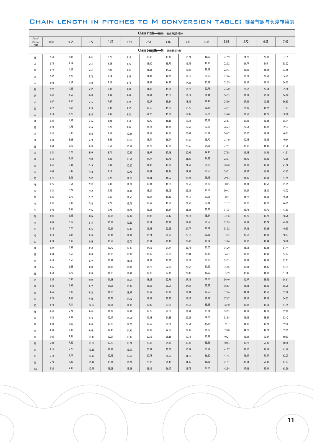#### CHAIN LENGTH IN PITCHES TO M CONVERSION TABLE: 链条节距与长度转换表

|                         | Chain Pitch-mm 链条节距-毫米 |              |              |                |                |                |                          |                |                |                |                |                |                |
|-------------------------|------------------------|--------------|--------------|----------------|----------------|----------------|--------------------------|----------------|----------------|----------------|----------------|----------------|----------------|
| No. of<br>Pitches<br>节数 | 0.64                   | 0.95         | 1.27         | 1.59           | 1.91           | 2.54           | 3.18                     | 3.81           | 4.45           | 5.08           | 5.72           | 6.35           | 7.62           |
|                         |                        |              |              |                |                |                | Chain Length--- M 链条长度-米 |                |                |                |                |                |                |
| 51                      | 2.69                   | 4.04         | 5.41         | 6.76           | 8.10           | 10.80          | 13.49                    | 16.21          | 18.90          | 21.59          | 24.28          | 27.00          | 32.39          |
| 52                      | 2.74                   | 4.14         | 5.51         | 6.88           | 8.26           | 11.00          | 13.77                    | 16.51          | 19.25          | 22.02          | 24.77          | 4.65           | 33.02          |
| 53                      | 2.79                   | 4.22         | 5.61         | 7.01           | 8.41           | 11.23          | 14.02                    | 16.84          | 19.63          | 22.43          | 25.25          | 28.04          | 33.66          |
| 54                      | 2.87                   | 4.29         | 5.72         | 7.14           | 8.59           | 11.43          | 14.30                    | 17.15          | 20.02          | 22.86          | 25.73          | 28.58          | 34.29          |
| 55                      | 2.92                   | 4.37         | 5.82         | 7.26           | 8.74           | 11.63          | 14.55                    | 17.48          | 20.37          | 23.29          | 26.19          | 29.11          | 34.93          |
| 56                      | 2.97                   | 4.45         | 5.92         | 7.42           | 8.89           | 11.86          | 14.81                    | 17.78          | 20.75          | 23.70          | 26.67          | 29.64          | 35.56          |
| 57                      | 3.02                   | 4.52         | 6.05         | 7.54           | 9.04           | 12.07          | 15.09                    | 18.11          | 21.11          | 24.13          | 27.15          | 30.18          | 36.20          |
| 58                      | 3.07                   | 4.60         | 6.15         | 7.67           | 9.22           | 12.27          | 15.34                    | 18.42          | 21.49          | 24.56          | 27.64          | 30.68          | 36.83          |
| 59                      | 3.12                   | 4.67         | 6.25         | 7.80           | 9.37           | 12.50          | 15.62                    | 18.75          | 21.84          | 24.97          | 28.09          | 31.22          | 37.47          |
| 60                      | 3.18                   | 4.78         | 6.35         | 7.95           | 9.53           | 12.70          | 15.88                    | 19.05          | 22.23          | 25.40          | 28.58          | 31.75          | 38.10          |
| 61                      | 3.23                   | 4.85         | 6.45         | 8.08           | 9.68           | 12.90          | 16.13                    | 19.38          | 22.61          | 25.83          | 29.06          | 32.28          | 38.74          |
| 62                      | 3.28                   | 4.93         | 6.55         | 8.20           | 9.86           | 13.13          | 16.41                    | 19.69          | 22.96          | 26.24          | 29.54          | 32.82          | 39.37          |
| 63                      | 3.33                   | 5.00         | 6.68         | 8.33           | 10.01          | 13.34          | 16.66                    | 20.02          | 23.34          | 26.67          | 30.00          | 33.35          | 40.01          |
| 64                      | 3.38                   | 5.08         | 6.78         | 8.46           | 10.16          | 13.54          | 16.94                    | 20.32          | 23.70          | 27.10          | 30.48          | 33.86          | 40.64          |
| 65                      | 3.43                   | 5.16         | 6.88         | 8.61           | 10.31          | 13.77          | 17.20                    | 20.65          | 24.08          | 27.51          | 30.96          | 34.39          | 41.28          |
| 66                      | 3.51                   | 5.23         | 6.99         | 8.74           | 10.49          | 13.97          | 17.48                    | 20.96          | 24.46          | 27.94          | 31.45          | 34.93          | 41.91          |
| 67                      | 3.56                   | 5.31         | 7.09         | 8.86           | 10.64          | 14.17          | 17.73                    | 21.29          | 24.82          | 28.37          | 31.90          | 35.46          | 42.55          |
| 68                      | 3.61                   | 5.41         | 7.19         | 8.99           | 10.80          | 14.40          | 17.98                    | 21.59          | 25.20          | 28.78          | 32.39          | 35.99          | 43.18          |
| 69                      | 3.66                   | 5.49         | 7.32         | 9.12           | 10.95          | 14.61          | 18.26                    | 21.92          | 25.55          | 29.21          | 32.87          | 36.53          | 43.82          |
| 70                      | 3.71                   | 5.56         | 7.42         | 9.27           | 11.13          | 14.81          | 18.52                    | 22.23          | 25.93          | 29.64          | 33.35          | 37.03          | 44.45          |
| 71                      | 3.76                   | 5.64         | 7.52         | 9.40           | 11.28          | 15.04          | 18.80                    | 22.56          | 26.29          | 30.05          | 33.81          | 37.57          | 45.09          |
| 72                      | 3.81                   | 5.72         | 7.62         | 9.53           | 11.43          | 15.24          | 19.05                    | 22.86          | 26.67          | 30.48          | 34.29          | 38.10          | 45.72          |
| 73                      | 3.86                   | 5.79         | 7.72         | 9.65           | 11.58          | 15.44          | 19.30                    | 23.19          | 27.05          | 30.91          | 34.77          | 38.63          | 46.36          |
| 74                      | 3.91                   | 5.87         | 7.82         | 9.78           | 11.76          | 15.67          | 19.58                    | 23.50          | 27.41          | 31.32          | 35.26          | 39.17          | 46.99          |
| 75                      | 3.96                   | 5.94         | 7.95         | 9.93           | 11.91          | 15.88          | 19.84                    | 23.83          | 27.79          | 31.75          | 35.71          | 39.70          | 47.63          |
| 76                      | 4.01                   | 6.05         | 8.05         | 10.06          | 12.07          | 16.08          | 20.12                    | 24.13          | 28.14          | 32.18          | 36.20          | 40.21          | 48.26          |
| 77                      | 4.06                   | 6.12         | 8.15         | 10.19          | 12.22          | 16.31          | 20.37                    | 24.46          | 28.52          | 32.59          | 36.68          | 40.74          | 48.90          |
| 78                      | 4.14                   | 6.20         | 8.26         | 10.31          | 12.40          | 16.51          | 20.65                    | 24.77          | 28.91          | 33.02          | 37.16          | 41.28          | 49.53          |
| 79                      | 4.19                   | 6.27<br>6.35 | 8.36         | 10.44          | 12.55          | 16.71          | 20.90                    | 25.10          | 29.26<br>29.64 | 33.45          | 37.62          | 41.81          | 50.17          |
| 80                      | 4.24<br>4.29           | 6.43         | 8.46         | 10.59<br>10.72 | 12.70          | 16.94<br>17.15 | 21.16<br>21.44           | 25.40          | 30.00          | 33.86<br>34.29 | 38.10<br>38.58 | 42.34<br>42.88 | 50.80<br>51.44 |
| 81                      | 4.34                   | 6.50         | 8.59         | 10.85          | 12.85          | 17.35          | 21.69                    | 25.73<br>26.04 | 30.38          | 34.72          | 39.07          | 43.38          | 52.07          |
| 82                      | 4.39                   | 6.58         | 8.69<br>8.79 | 10.97          | 13.03<br>13.18 | 17.58          | 21.97                    | 26.37          | 30.73          | 35.13          | 39.52          | 43.92          | 52.71          |
| 83                      | 4.45                   | 6.68         | 8.89         | 11.13          | 13.34          | 17.78          | 22.23                    | 26.67          | 31.12          | 35.56          | 40.01          | 44.45          | 53.34          |
| 84<br>85                | 4.50                   | 6.76         | 8.99         | 11.25          | 13.49          | 17.98          | 22.48                    | 27.00          | 31.50          | 35.99          | 40.49          | 44.98          | 53.98          |
| 86                      | 4.55                   | 6.83         | 9.09         | 11.38          | 13.67          | 18.21          | 22.76                    | 27.31          | 31.85          | 36.40          | 40.97          | 45.52          | 54.61          |
| 87                      | 4.60                   | 6.91         | 9.22         | 11.51          | 13.82          | 18.42          | 23.01                    | 27.64          | 32.23          | 36.83          | 41.43          | 46.05          | 55.25          |
| 88                      | 4.65                   | 6.99         | 9.32         | 11.63          | 13.97          | 18.62          | 23.29                    | 27.94          | 32.59          | 37.26          | 41.91          | 46.56          | 55.88          |
| 89                      | 4.70                   | 7.06         | 9.42         | 11.79          | 14.12          | 18.85          | 23.55                    | 28.27          | 32.97          | 37.67          | 42.39          | 47.09          | 56.52          |
| 90                      | 4.78                   | 7.14         | 17.15        | 11.91          | 14.30          | 19.05          | 23.83                    | 28.58          | 33.35          | 38.10          | 42.88          | 47.63          | 57.15          |
| 91                      | 4.83                   | 7.21         | 9.63         | 12.04          | 14.45          | 19.25          | 24.08                    | 28.91          | 33.71          | 38.53          | 43.33          | 48.16          | 57.79          |
| 92                      | 4.88                   | 7.32         | 9.73         | 12.17          | 14.61          | 19.48          | 24.33                    | 29.21          | 34.09          | 38.94          | 43.82          | 48.69          | 58.42          |
| 93                      | 4.93                   | 7.39         | 9.86         | 12.29          | 14.76          | 19.69          | 24.61                    | 29.54          | 34.44          | 39.37          | 44.30          | 49.23          | 59.06          |
| 94                      | 4.98                   | 7.47         | 9.96         | 12.45          | 14.94          | 19.89          | 24.87                    | 29.85          | 34.82          | 39.80          | 44.78          | 49.73          | 59.69          |
| 95                      | 5.03                   | 7.54         | 10.06        | 12.57          | 15.09          | 20.12          | 25.15                    | 30.18          | 35.18          | 40.21          | 45.24          | 50.27          | 60.33          |
| 96                      | 5.08                   | 7.62         | 10.16        | 12.70          | 15.24          | 20.32          | 25.40                    | 30.48          | 35.56          | 40.64          | 45.72          | 50.80          | 60.96          |
| 97                      | 5.13                   | 7.70         | 10.26        | 12.83          | 15.39          | 20.52          | 25.65                    | 30.81          | 35.94          | 41.07          | 46.20          | 51.33          | 61.60          |
| 98                      | 5.18                   | 7.77         | 10.36        | 12.95          | 15.57          | 20.75          | 25.93                    | 31.12          | 36.30          | 41.48          | 46.69          | 51.87          | 62.23          |
| 99                      | 5.23                   | 7.85         | 10.49        | 13.11          | 15.72          | 20.96          | 26.19                    | 31.45          | 36.68          | 41.91          | 47.14          | 52.40          | 62.87          |
| 100                     | 5.28                   | 7.95         | 10.59        | 13.23          | 15.88          | 21.16          | 26.47                    | 31.75          | 37.03          | 42.34          | 47.63          | 52.91          | 63.50          |

**11**